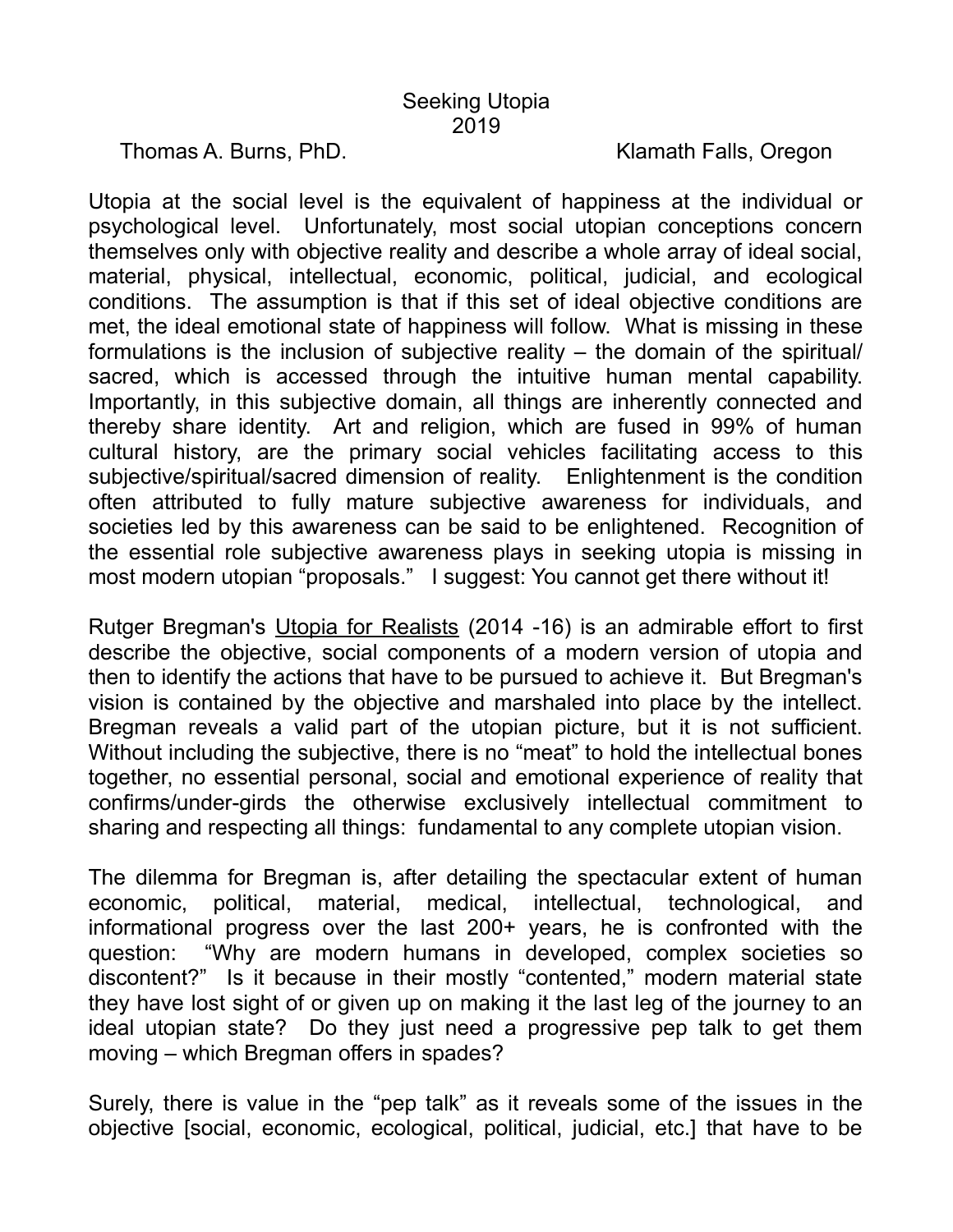Thomas A. Burns, PhD. Klamath Falls, Oregon

Utopia at the social level is the equivalent of happiness at the individual or psychological level. Unfortunately, most social utopian conceptions concern themselves only with objective reality and describe a whole array of ideal social, material, physical, intellectual, economic, political, judicial, and ecological conditions. The assumption is that if this set of ideal objective conditions are met, the ideal emotional state of happiness will follow. What is missing in these formulations is the inclusion of subjective reality – the domain of the spiritual/ sacred, which is accessed through the intuitive human mental capability. Importantly, in this subjective domain, all things are inherently connected and thereby share identity. Art and religion, which are fused in 99% of human cultural history, are the primary social vehicles facilitating access to this subjective/spiritual/sacred dimension of reality. Enlightenment is the condition often attributed to fully mature subjective awareness for individuals, and societies led by this awareness can be said to be enlightened. Recognition of the essential role subjective awareness plays in seeking utopia is missing in most modern utopian "proposals." I suggest: You cannot get there without it!

Rutger Bregman's Utopia for Realists (2014 -16) is an admirable effort to first describe the objective, social components of a modern version of utopia and then to identify the actions that have to be pursued to achieve it. But Bregman's vision is contained by the objective and marshaled into place by the intellect. Bregman reveals a valid part of the utopian picture, but it is not sufficient. Without including the subjective, there is no "meat" to hold the intellectual bones together, no essential personal, social and emotional experience of reality that confirms/under-girds the otherwise exclusively intellectual commitment to sharing and respecting all things: fundamental to any complete utopian vision.

The dilemma for Bregman is, after detailing the spectacular extent of human economic, political, material, medical, intellectual, technological, and informational progress over the last 200+ years, he is confronted with the question: "Why are modern humans in developed, complex societies so discontent?" Is it because in their mostly "contented," modern material state they have lost sight of or given up on making it the last leg of the journey to an ideal utopian state? Do they just need a progressive pep talk to get them moving – which Bregman offers in spades?

Surely, there is value in the "pep talk" as it reveals some of the issues in the objective [social, economic, ecological, political, judicial, etc.] that have to be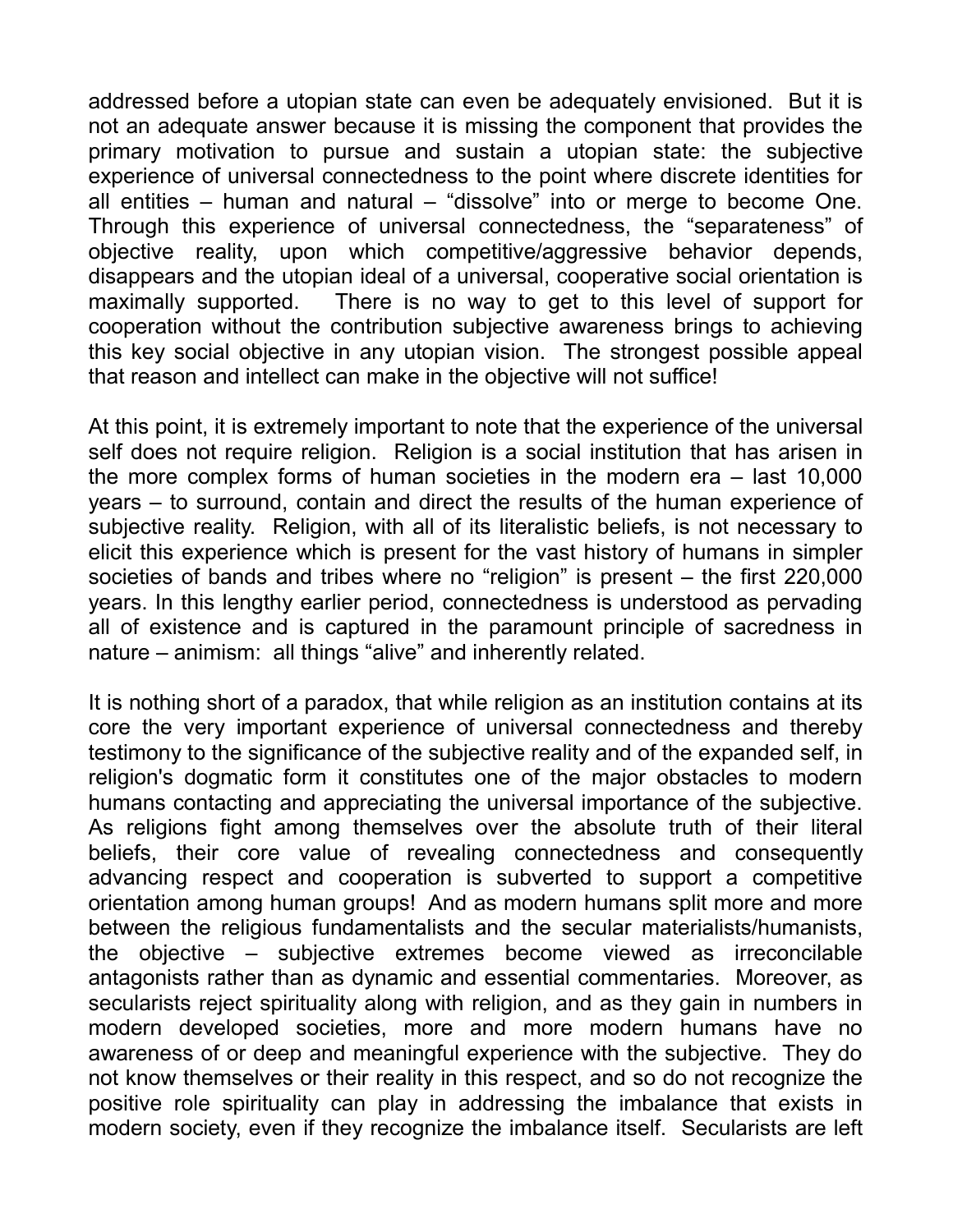addressed before a utopian state can even be adequately envisioned. But it is not an adequate answer because it is missing the component that provides the primary motivation to pursue and sustain a utopian state: the subjective experience of universal connectedness to the point where discrete identities for all entities – human and natural – "dissolve" into or merge to become One. Through this experience of universal connectedness, the "separateness" of objective reality, upon which competitive/aggressive behavior depends, disappears and the utopian ideal of a universal, cooperative social orientation is maximally supported. There is no way to get to this level of support for cooperation without the contribution subjective awareness brings to achieving this key social objective in any utopian vision. The strongest possible appeal that reason and intellect can make in the objective will not suffice!

At this point, it is extremely important to note that the experience of the universal self does not require religion. Religion is a social institution that has arisen in the more complex forms of human societies in the modern era – last 10,000 years – to surround, contain and direct the results of the human experience of subjective reality. Religion, with all of its literalistic beliefs, is not necessary to elicit this experience which is present for the vast history of humans in simpler societies of bands and tribes where no "religion" is present – the first 220,000 years. In this lengthy earlier period, connectedness is understood as pervading all of existence and is captured in the paramount principle of sacredness in nature – animism: all things "alive" and inherently related.

It is nothing short of a paradox, that while religion as an institution contains at its core the very important experience of universal connectedness and thereby testimony to the significance of the subjective reality and of the expanded self, in religion's dogmatic form it constitutes one of the major obstacles to modern humans contacting and appreciating the universal importance of the subjective. As religions fight among themselves over the absolute truth of their literal beliefs, their core value of revealing connectedness and consequently advancing respect and cooperation is subverted to support a competitive orientation among human groups! And as modern humans split more and more between the religious fundamentalists and the secular materialists/humanists, the objective – subjective extremes become viewed as irreconcilable antagonists rather than as dynamic and essential commentaries. Moreover, as secularists reject spirituality along with religion, and as they gain in numbers in modern developed societies, more and more modern humans have no awareness of or deep and meaningful experience with the subjective. They do not know themselves or their reality in this respect, and so do not recognize the positive role spirituality can play in addressing the imbalance that exists in modern society, even if they recognize the imbalance itself. Secularists are left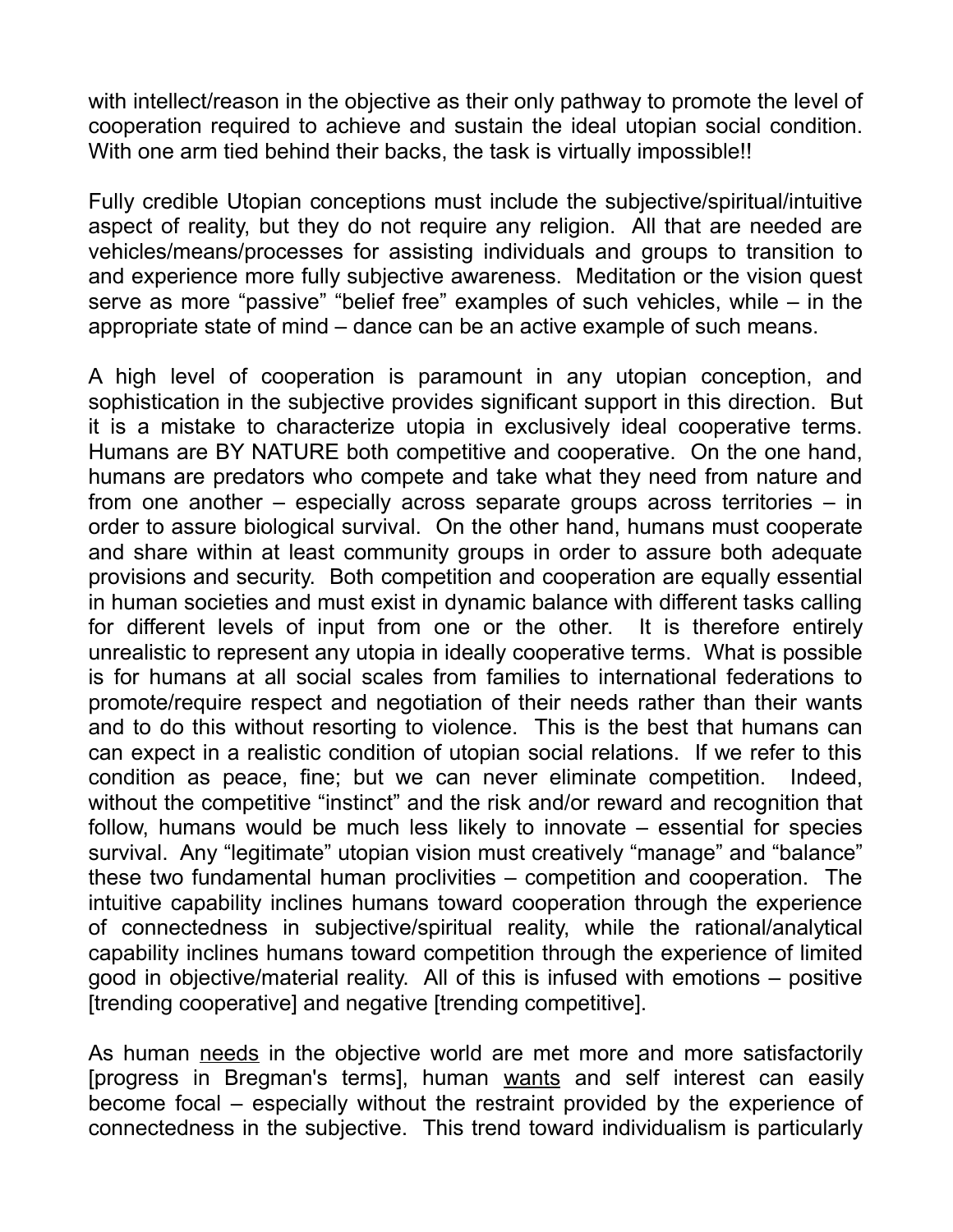with intellect/reason in the objective as their only pathway to promote the level of cooperation required to achieve and sustain the ideal utopian social condition. With one arm tied behind their backs, the task is virtually impossible!!

Fully credible Utopian conceptions must include the subjective/spiritual/intuitive aspect of reality, but they do not require any religion. All that are needed are vehicles/means/processes for assisting individuals and groups to transition to and experience more fully subjective awareness. Meditation or the vision quest serve as more "passive" "belief free" examples of such vehicles, while – in the appropriate state of mind – dance can be an active example of such means.

A high level of cooperation is paramount in any utopian conception, and sophistication in the subjective provides significant support in this direction. But it is a mistake to characterize utopia in exclusively ideal cooperative terms. Humans are BY NATURE both competitive and cooperative. On the one hand, humans are predators who compete and take what they need from nature and from one another – especially across separate groups across territories – in order to assure biological survival. On the other hand, humans must cooperate and share within at least community groups in order to assure both adequate provisions and security. Both competition and cooperation are equally essential in human societies and must exist in dynamic balance with different tasks calling for different levels of input from one or the other. It is therefore entirely unrealistic to represent any utopia in ideally cooperative terms. What is possible is for humans at all social scales from families to international federations to promote/require respect and negotiation of their needs rather than their wants and to do this without resorting to violence. This is the best that humans can can expect in a realistic condition of utopian social relations. If we refer to this condition as peace, fine; but we can never eliminate competition. Indeed, without the competitive "instinct" and the risk and/or reward and recognition that follow, humans would be much less likely to innovate – essential for species survival. Any "legitimate" utopian vision must creatively "manage" and "balance" these two fundamental human proclivities – competition and cooperation. The intuitive capability inclines humans toward cooperation through the experience of connectedness in subjective/spiritual reality, while the rational/analytical capability inclines humans toward competition through the experience of limited good in objective/material reality. All of this is infused with emotions – positive [trending cooperative] and negative [trending competitive].

As human needs in the objective world are met more and more satisfactorily [progress in Bregman's terms], human wants and self interest can easily become focal – especially without the restraint provided by the experience of connectedness in the subjective. This trend toward individualism is particularly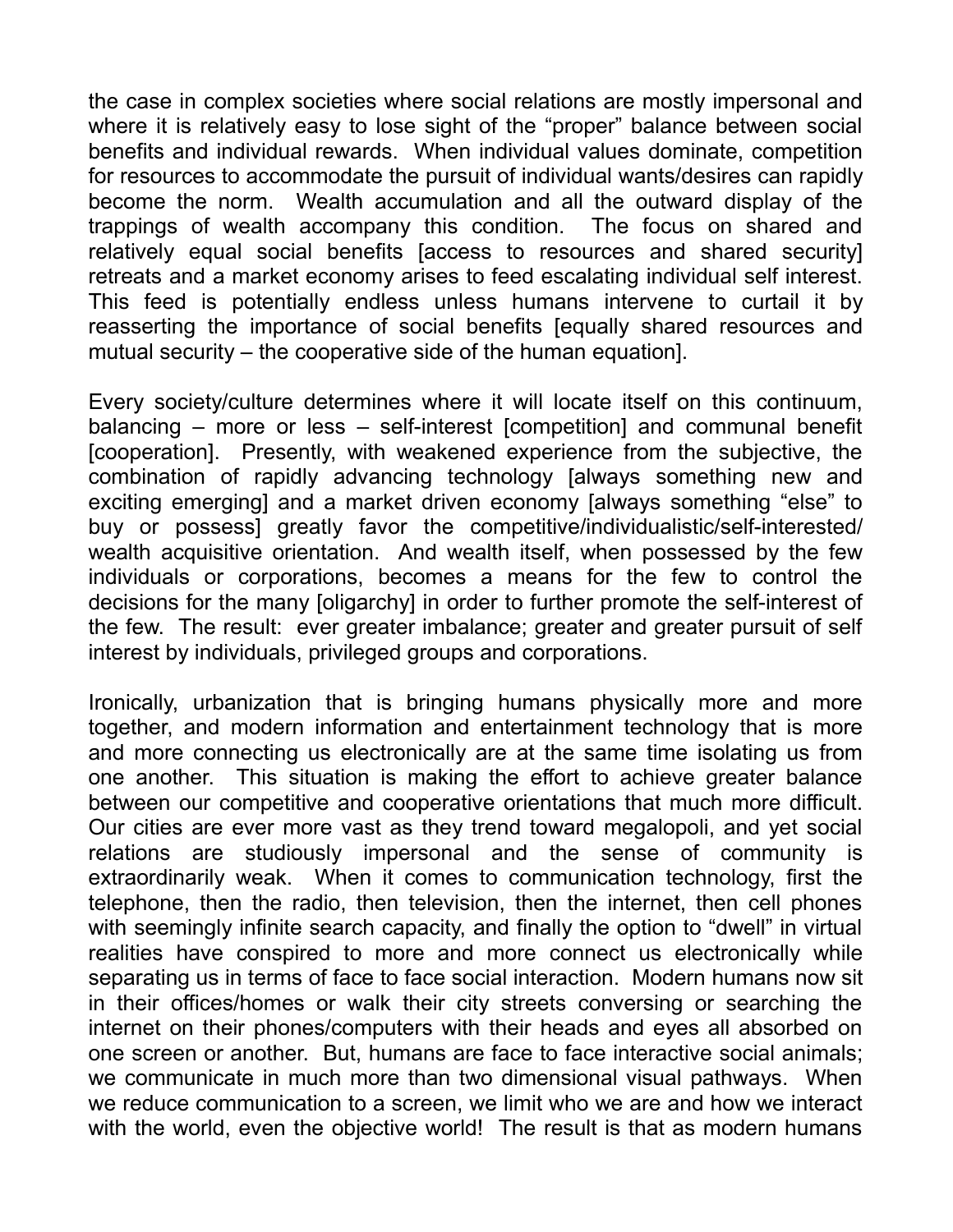the case in complex societies where social relations are mostly impersonal and where it is relatively easy to lose sight of the "proper" balance between social benefits and individual rewards. When individual values dominate, competition for resources to accommodate the pursuit of individual wants/desires can rapidly become the norm. Wealth accumulation and all the outward display of the trappings of wealth accompany this condition. The focus on shared and relatively equal social benefits [access to resources and shared security] retreats and a market economy arises to feed escalating individual self interest. This feed is potentially endless unless humans intervene to curtail it by reasserting the importance of social benefits [equally shared resources and mutual security – the cooperative side of the human equation].

Every society/culture determines where it will locate itself on this continuum, balancing – more or less – self-interest [competition] and communal benefit [cooperation]. Presently, with weakened experience from the subjective, the combination of rapidly advancing technology [always something new and exciting emerging] and a market driven economy [always something "else" to buy or possess] greatly favor the competitive/individualistic/self-interested/ wealth acquisitive orientation. And wealth itself, when possessed by the few individuals or corporations, becomes a means for the few to control the decisions for the many [oligarchy] in order to further promote the self-interest of the few. The result: ever greater imbalance; greater and greater pursuit of self interest by individuals, privileged groups and corporations.

Ironically, urbanization that is bringing humans physically more and more together, and modern information and entertainment technology that is more and more connecting us electronically are at the same time isolating us from one another. This situation is making the effort to achieve greater balance between our competitive and cooperative orientations that much more difficult. Our cities are ever more vast as they trend toward megalopoli, and yet social relations are studiously impersonal and the sense of community is extraordinarily weak. When it comes to communication technology, first the telephone, then the radio, then television, then the internet, then cell phones with seemingly infinite search capacity, and finally the option to "dwell" in virtual realities have conspired to more and more connect us electronically while separating us in terms of face to face social interaction. Modern humans now sit in their offices/homes or walk their city streets conversing or searching the internet on their phones/computers with their heads and eyes all absorbed on one screen or another. But, humans are face to face interactive social animals; we communicate in much more than two dimensional visual pathways. When we reduce communication to a screen, we limit who we are and how we interact with the world, even the objective world! The result is that as modern humans